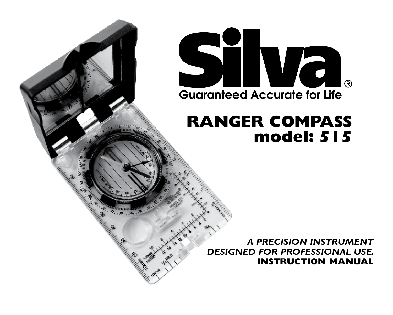

# **RANGER COMPASS model: 515**

*A PRECISION INSTRUMENT DESIGNED FOR PROFESSIONAL USE.* **INSTRUCTION MANUAL**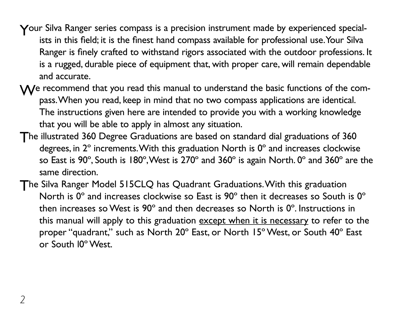- Your Silva Ranger series compass is a precision instrument made by experienced specialists in this field; it is the finest hand compass available for professional use. Your Silva Ranger is finely crafted to withstand rigors associated with the outdoor professions. It is a rugged, durable piece of equipment that, with proper care, will remain dependable and accurate.
- $M$ e recommend that you read this manual to understand the basic functions of the compass. When you read, keep in mind that no two compass applications are identical. The instructions given here are intended to provide you with a working knowledge that you will be able to apply in almost any situation.
- The illustrated 360 Degree Graduations are based on standard dial graduations of 360 degrees, in 2º increments. With this graduation North is 0º and increases clockwise so East is 90 $^{\circ}$ , South is 180 $^{\circ}$ , West is 270 $^{\circ}$  and 360 $^{\circ}$  is again North. 0 $^{\circ}$  and 360 $^{\circ}$  are the same direction.
- The Silva Ranger Model 515CLQ has Quadrant Graduations. With this graduation North is 0° and increases clockwise so East is 90° then it decreases so South is 0° then increases so West is 90º and then decreases so North is 0º. Instructions in this manual will apply to this graduation except when it is necessary to refer to the proper "quadrant," such as North 20º East, or North 15º West, or South 40º East or South l0º West.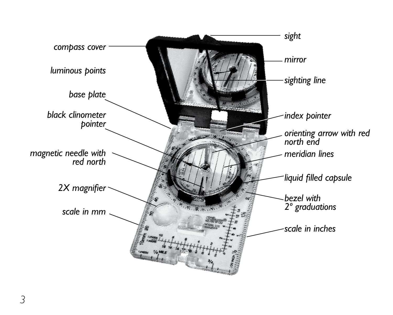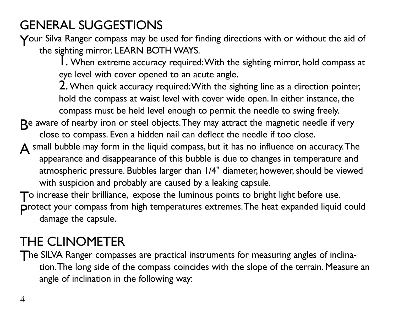## General Suggestions

Your Silva Ranger compass may be used for finding directions with or without the aid of the sighting mirror. LEARN BOTH WAYS.

> 1. When extreme accuracy required: With the sighting mirror, hold compass at eye level with cover opened to an acute angle.

2. When quick accuracy required: With the sighting line as a direction pointer, hold the compass at waist level with cover wide open. In either instance, the compass must be held level enough to permit the needle to swing freely.

- Be aware of nearby iron or steel objects. They may attract the magnetic needle if very close to compass. Even a hidden nail can deflect the needle if too close.
- $\Delta$  small bubble may form in the liquid compass, but it has no influence on accuracy. The appearance and disappearance of this bubble is due to changes in temperature and atmospheric pressure. Bubbles larger than 1/4" diameter, however, should be viewed with suspicion and probably are caused by a leaking capsule.

To increase their brilliance, expose the luminous points to bright light before use.

Protect your compass from high temperatures extremes. The heat expanded liquid could damage the capsule.

## The Clinometer

The SILVA Ranger compasses are practical instruments for measuring angles of inclination. The long side of the compass coincides with the slope of the terrain. Measure an angle of inclination in the following way: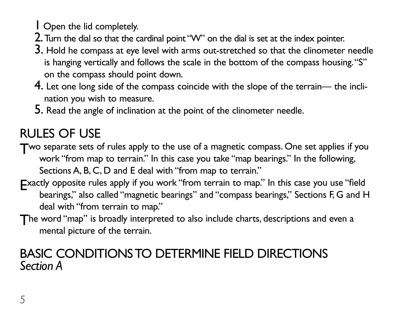1 Open the lid completely.

- 2. Turn the dial so that the cardinal point "W" on the dial is set at the index pointer.
- 3. Hold he compass at eye level with arms out-stretched so that the clinometer needle is hanging vertically and follows the scale in the bottom of the compass housing. "S" on the compass should point down.
- 4. Let one long side of the compass coincide with the slope of the terrain— the inclination you wish to measure.
- 5. Read the angle of inclination at the point of the clinometer needle.

# RULES OF USE

Two separate sets of rules apply to the use of a magnetic compass. One set applies if you work "from map to terrain." In this case you take "map bearings." In the following, Sections A, B, C, D and E deal with "from map to terrain."

- Exactly opposite rules apply if you work "from terrain to map." In this case you use "field bearings," also called "magnetic bearings" and "compass bearings," Sections F, G and H deal with "from terrain to map."
- The word "map" is broadly interpreted to also include charts, descriptions and even a mental picture of the terrain.

## basic conditionsto determine field directions *Section A*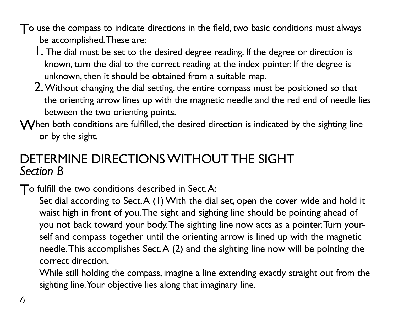To use the compass to indicate directions in the field, two basic conditions must always be accomplished. These are:

- 1. The dial must be set to the desired degree reading. If the degree or direction is known, turn the dial to the correct reading at the index pointer. If the degree is unknown, then it should be obtained from a suitable map.
- 2. Without changing the dial setting, the entire compass must be positioned so that the orienting arrow lines up with the magnetic needle and the red end of needle lies between the two orienting points.
- When both conditions are fulfilled, the desired direction is indicated by the sighting line or by the sight.

## determine directionswithout the sight *Section B*

To fulfill the two conditions described in Sect. A:

Set dial according to Sect. A (1) With the dial set, open the cover wide and hold it waist high in front of you. The sight and sighting line should be pointing ahead of you not back toward your body. The sighting line now acts as a pointer. Turn yourself and compass together until the orienting arrow is lined up with the magnetic needle. This accomplishes Sect. A (2) and the sighting line now will be pointing the correct direction.

While still holding the compass, imagine a line extending exactly straight out from the sighting line. Your objective lies along that imaginary line.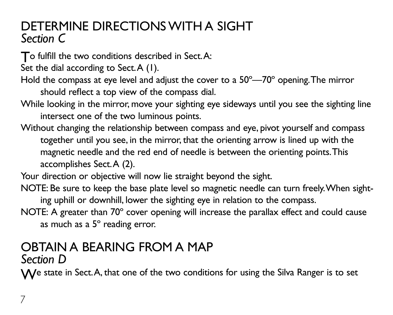## determine directionswith a sight *Section C*

To fulfill the two conditions described in Sect. A:

Set the dial according to Sect.A (1).

- Hold the compass at eye level and adjust the cover to a 50º—70º opening. The mirror should reflect a top view of the compass dial.
- While looking in the mirror, move your sighting eye sideways until you see the sighting line intersect one of the two luminous points.
- Without changing the relationship between compass and eye, pivot yourself and compass together until you see, in the mirror, that the orienting arrow is lined up with the magnetic needle and the red end of needle is between the orienting points. This accomplishes Sect. A (2).
- Your direction or objective will now lie straight beyond the sight.
- NOTE: Be sure to keep the base plate level so magnetic needle can turn freely. When sighting uphill or downhill, lower the sighting eye in relation to the compass.
- NOTE: A greater than 70º cover opening will increase the parallax effect and could cause as much as a 5º reading error.

#### OBTAIN A BEARING FROM A MAP *Section D*

We state in Sect. A, that one of the two conditions for using the Silva Ranger is to set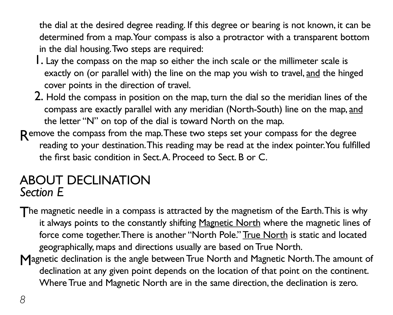the dial at the desired degree reading. If this degree or bearing is not known, it can be determined from a map. Your compass is also a protractor with a transparent bottom in the dial housing. Two steps are required:

- 1. Lay the compass on the map so either the inch scale or the millimeter scale is exactly on (or parallel with) the line on the map you wish to travel, and the hinged cover points in the direction of travel.
- 2. Hold the compass in position on the map, turn the dial so the meridian lines of the compass are exactly parallel with any meridian (North-South) line on the map, and the letter "N" on top of the dial is toward North on the map.
- Remove the compass from the map. These two steps set your compass for the degree reading to your destination. This reading may be read at the index pointer. You fulfilled the first basic condition in Sect. A. Proceed to Sect. B or C.

## About declination *Section E*

The magnetic needle in a compass is attracted by the magnetism of the Earth. This is why it always points to the constantly shifting Magnetic North where the magnetic lines of force come together. There is another "North Pole." True North is static and located geographically, maps and directions usually are based on True North.

Magnetic declination is the angle between True North and Magnetic North. The amount of declination at any given point depends on the location of that point on the continent. Where True and Magnetic North are in the same direction, the declination is zero.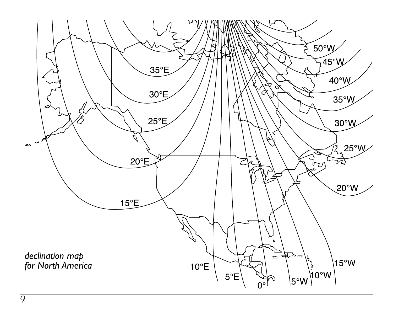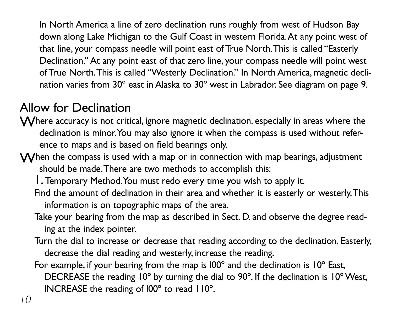In North America a line of zero declination runs roughly from west of Hudson Bay down along Lake Michigan to the Gulf Coast in western Florida. At any point west of that line, your compass needle will point east of True North. This is called "Easterly Declination." At any point east of that zero line, your compass needle will point west of True North. This is called "Westerly Declination." In North America, magnetic declination varies from 30º east in Alaska to 30º west in Labrador. See diagram on page 9.

## Allow for Declination

- Where accuracy is not critical, ignore magnetic declination, especially in areas where the declination is minor. You may also ignore it when the compass is used without reference to maps and is based on field bearings only.
- $\mathsf{\mathsf{W}}$  hen the compass is used with a map or in connection with map bearings, adjustment should be made. There are two methods to accomplish this:
	- 1. Temporary Method. You must redo every time you wish to apply it.
	- Find the amount of declination in their area and whether it is easterly or westerly. This information is on topographic maps of the area.
	- Take your bearing from the map as described in Sect. D. and observe the degree reading at the index pointer.
	- Turn the dial to increase or decrease that reading according to the declination. Easterly, decrease the dial reading and westerly, increase the reading.
	- For example, if your bearing from the map is  $100^\circ$  and the declination is  $10^\circ$  East, DECREASE the reading 10º by turning the dial to 90º. If the declination is 10º West, INCREASE the reading of l00º to read 110º.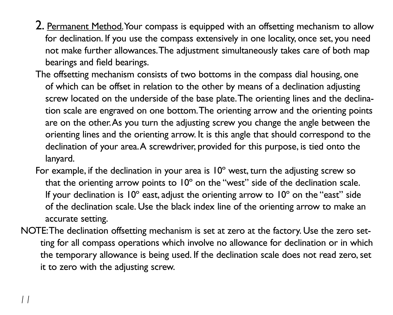- 2. Permanent Method. Your compass is equipped with an offsetting mechanism to allow for declination. If you use the compass extensively in one locality, once set, you need not make further allowances. The adjustment simultaneously takes care of both map bearings and field bearings.
- The offsetting mechanism consists of two bottoms in the compass dial housing, one of which can be offset in relation to the other by means of a declination adjusting screw located on the underside of the base plate. The orienting lines and the declination scale are engraved on one bottom. The orienting arrow and the orienting points are on the other. As you turn the adjusting screw you change the angle between the orienting lines and the orienting arrow. It is this angle that should correspond to the declination of your area. A screwdriver, provided for this purpose, is tied onto the lanyard.
- For example, if the declination in your area is 10° west, turn the adjusting screw so that the orienting arrow points to 10º on the "west" side of the declination scale. If your declination is  $10^{\circ}$  east, adjust the orienting arrow to  $10^{\circ}$  on the "east" side of the declination scale. Use the black index line of the orienting arrow to make an accurate setting.
- NOTE: The declination offsetting mechanism is set at zero at the factory. Use the zero setting for all compass operations which involve no allowance for declination or in which the temporary allowance is being used. If the declination scale does not read zero, set it to zero with the adjusting screw.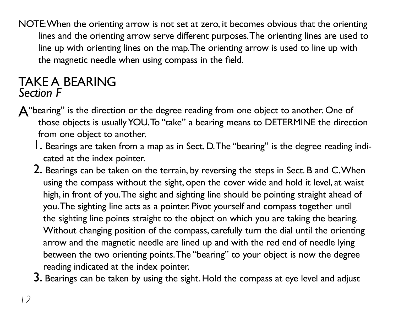NOTE: When the orienting arrow is not set at zero, it becomes obvious that the orienting lines and the orienting arrow serve different purposes. The orienting lines are used to line up with orienting lines on the map. The orienting arrow is used to line up with the magnetic needle when using compass in the field.

## take a bearing *Section F*

- A"bearing" is the direction or the degree reading from one object to another. One of those objects is usually YOU. To "take" a bearing means to DETERMINE the direction from one object to another.
	- 1. Bearings are taken from a map as in Sect. D. The "bearing" is the degree reading indicated at the index pointer.
	- 2. Bearings can be taken on the terrain, by reversing the steps in Sect. B and C. When using the compass without the sight, open the cover wide and hold it level, at waist high, in front of you. The sight and sighting line should be pointing straight ahead of you. The sighting line acts as a pointer. Pivot yourself and compass together until the sighting line points straight to the object on which you are taking the bearing. Without changing position of the compass, carefully turn the dial until the orienting arrow and the magnetic needle are lined up and with the red end of needle lying between the two orienting points. The "bearing" to your object is now the degree reading indicated at the index pointer.

3. Bearings can be taken by using the sight. Hold the compass at eye level and adjust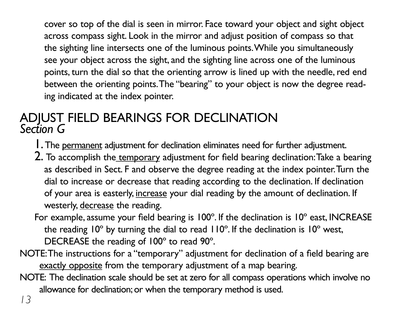cover so top of the dial is seen in mirror. Face toward your object and sight object across compass sight. Look in the mirror and adjust position of compass so that the sighting line intersects one of the luminous points. While you simultaneously see your object across the sight, and the sighting line across one of the luminous points, turn the dial so that the orienting arrow is lined up with the needle, red end between the orienting points. The "bearing" to your object is now the degree reading indicated at the index pointer.

### Adjust field bearings for declination *Section G*

- 1. The permanent adjustment for declination eliminates need for further adjustment.
- 2. To accomplish the temporary adjustment for field bearing declination: Take a bearing as described in Sect. F and observe the degree reading at the index pointer. Turn the dial to increase or decrease that reading according to the declination. If declination of your area is easterly, increase your dial reading by the amount of declination. If westerly, decrease the reading.
- For example, assume your field bearing is 100º. If the declination is 10º east, INCREASE the reading 10º by turning the dial to read 110º. If the declination is 10º west, DECREASE the reading of 100º to read 90º.
- NOTE: The instructions for a "temporary" adjustment for declination of a field bearing are exactly opposite from the temporary adjustment of a map bearing.
- NOTE: The declination scale should be set at zero for all compass operations which involve no allowance for declination; or when the temporary method is used.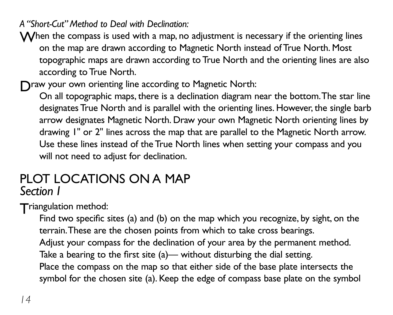*A "Short-Cut" Method to Deal with Declination:*

 $\mathsf{\mathsf{W}}$  hen the compass is used with a map, no adjustment is necessary if the orienting lines on the map are drawn according to Magnetic North instead of True North. Most topographic maps are drawn according to True North and the orienting lines are also according to True North.

Draw your own orienting line according to Magnetic North:

On all topographic maps, there is a declination diagram near the bottom. The star line designates True North and is parallel with the orienting lines. However, the single barb arrow designates Magnetic North. Draw your own Magnetic North orienting lines by drawing 1" or 2" lines across the map that are parallel to the Magnetic North arrow. Use these lines instead of the True North lines when setting your compass and you will not need to adjust for declination.

#### PLOT LOCATIONS ON A MAP *Section I*

Triangulation method:

Find two specific sites (a) and (b) on the map which you recognize, by sight, on the terrain. These are the chosen points from which to take cross bearings. Adjust your compass for the declination of your area by the permanent method. Take a bearing to the first site (a)— without disturbing the dial setting. Place the compass on the map so that either side of the base plate intersects the symbol for the chosen site (a). Keep the edge of compass base plate on the symbol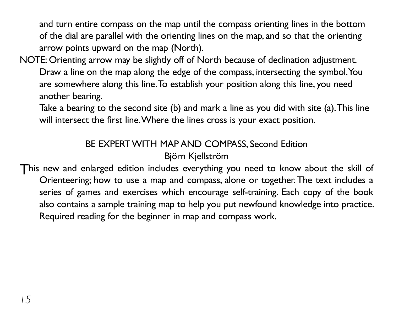and turn entire compass on the map until the compass orienting lines in the bottom of the dial are parallel with the orienting lines on the map, and so that the orienting arrow points upward on the map (North).

NOTE: Orienting arrow may be slightly off of North because of declination adjustment. Draw a line on the map along the edge of the compass, intersecting the symbol. You are somewhere along this line. To establish your position along this line, you need another bearing.

Take a bearing to the second site (b) and mark a line as you did with site (a). This line will intersect the first line. Where the lines cross is your exact position.

### BE EXPERT WITH MAP AND COMPASS, Second Edition

Björn Kjellström

This new and enlarged edition includes everything you need to know about the skill of Orienteering; how to use a map and compass, alone or together. The text includes a series of games and exercises which encourage self-training. Each copy of the book also contains a sample training map to help you put newfound knowledge into practice. Required reading for the beginner in map and compass work.